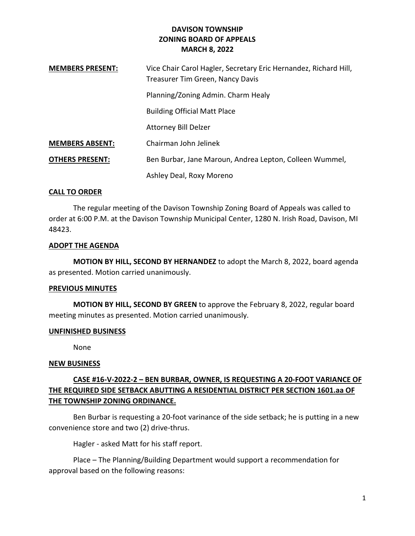## DAVISON TOWNSHIP ZONING BOARD OF APPEALS MARCH 8, 2022

| <b>MEMBERS PRESENT:</b> | Vice Chair Carol Hagler, Secretary Eric Hernandez, Richard Hill,<br>Treasurer Tim Green, Nancy Davis |
|-------------------------|------------------------------------------------------------------------------------------------------|
|                         | Planning/Zoning Admin. Charm Healy                                                                   |
|                         | <b>Building Official Matt Place</b>                                                                  |
|                         | <b>Attorney Bill Delzer</b>                                                                          |
| <b>MEMBERS ABSENT:</b>  | Chairman John Jelinek                                                                                |
| <b>OTHERS PRESENT:</b>  | Ben Burbar, Jane Maroun, Andrea Lepton, Colleen Wummel,                                              |
|                         | Ashley Deal, Roxy Moreno                                                                             |

## CALL TO ORDER

 The regular meeting of the Davison Township Zoning Board of Appeals was called to order at 6:00 P.M. at the Davison Township Municipal Center, 1280 N. Irish Road, Davison, MI 48423.

#### ADOPT THE AGENDA

MOTION BY HILL, SECOND BY HERNANDEZ to adopt the March 8, 2022, board agenda as presented. Motion carried unanimously.

## PREVIOUS MINUTES

MOTION BY HILL, SECOND BY GREEN to approve the February 8, 2022, regular board meeting minutes as presented. Motion carried unanimously.

## UNFINISHED BUSINESS

None

## NEW BUSINESS

# CASE #16-V-2022-2 – BEN BURBAR, OWNER, IS REQUESTING A 20-FOOT VARIANCE OF THE REQUIRED SIDE SETBACK ABUTTING A RESIDENTIAL DISTRICT PER SECTION 1601.aa OF THE TOWNSHIP ZONING ORDINANCE.

 Ben Burbar is requesting a 20-foot varinance of the side setback; he is putting in a new convenience store and two (2) drive-thrus.

Hagler - asked Matt for his staff report.

 Place – The Planning/Building Department would support a recommendation for approval based on the following reasons: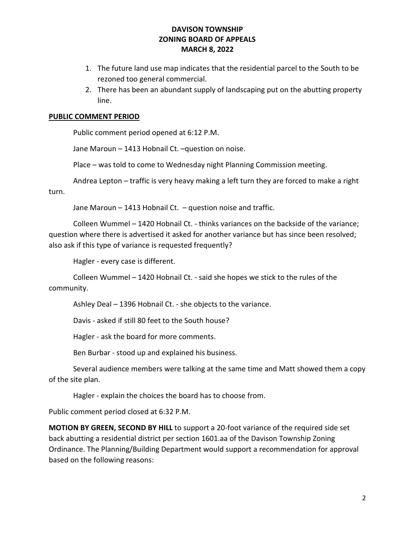## DAVISON TOWNSHIP ZONING BOARD OF APPEALS MARCH 8, 2022

- 1. The future land use map indicates that the residential parcel to the South to be rezoned too general commercial.
- 2. There has been an abundant supply of landscaping put on the abutting property line.

## PUBLIC COMMENT PERIOD

Public comment period opened at 6:12 P.M.

Jane Maroun – 1413 Hobnail Ct. –question on noise.

Place – was told to come to Wednesday night Planning Commission meeting.

 Andrea Lepton – traffic is very heavy making a left turn they are forced to make a right turn.

Jane Maroun – 1413 Hobnail Ct. – question noise and traffic.

 Colleen Wummel – 1420 Hobnail Ct. - thinks variances on the backside of the variance; question where there is advertised it asked for another variance but has since been resolved; also ask if this type of variance is requested frequently?

Hagler - every case is different.

 Colleen Wummel – 1420 Hobnail Ct. - said she hopes we stick to the rules of the community.

Ashley Deal – 1396 Hobnail Ct. - she objects to the variance.

Davis - asked if still 80 feet to the South house?

Hagler - ask the board for more comments.

Ben Burbar - stood up and explained his business.

 Several audience members were talking at the same time and Matt showed them a copy of the site plan.

Hagler - explain the choices the board has to choose from.

Public comment period closed at 6:32 P.M.

MOTION BY GREEN, SECOND BY HILL to support a 20-foot variance of the required side set back abutting a residential district per section 1601.aa of the Davison Township Zoning Ordinance. The Planning/Building Department would support a recommendation for approval based on the following reasons: